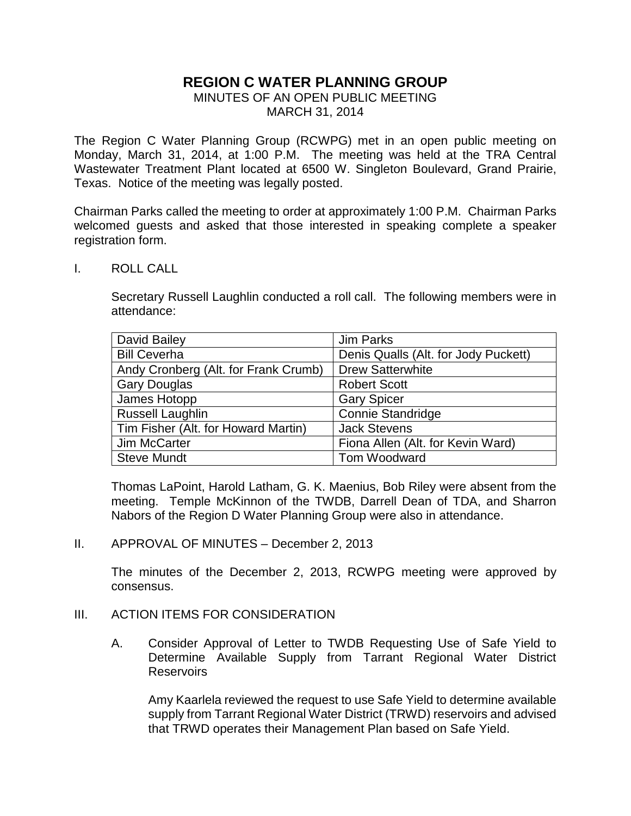# **REGION C WATER PLANNING GROUP**

# MINUTES OF AN OPEN PUBLIC MEETING MARCH 31, 2014

The Region C Water Planning Group (RCWPG) met in an open public meeting on Monday, March 31, 2014, at 1:00 P.M. The meeting was held at the TRA Central Wastewater Treatment Plant located at 6500 W. Singleton Boulevard, Grand Prairie, Texas. Notice of the meeting was legally posted.

Chairman Parks called the meeting to order at approximately 1:00 P.M. Chairman Parks welcomed guests and asked that those interested in speaking complete a speaker registration form.

#### I. ROLL CALL

Secretary Russell Laughlin conducted a roll call. The following members were in attendance:

| David Bailey                         | Jim Parks                            |
|--------------------------------------|--------------------------------------|
| <b>Bill Ceverha</b>                  | Denis Qualls (Alt. for Jody Puckett) |
| Andy Cronberg (Alt. for Frank Crumb) | <b>Drew Satterwhite</b>              |
| <b>Gary Douglas</b>                  | <b>Robert Scott</b>                  |
| James Hotopp                         | <b>Gary Spicer</b>                   |
| <b>Russell Laughlin</b>              | <b>Connie Standridge</b>             |
| Tim Fisher (Alt. for Howard Martin)  | <b>Jack Stevens</b>                  |
| Jim McCarter                         | Fiona Allen (Alt. for Kevin Ward)    |
| <b>Steve Mundt</b>                   | <b>Tom Woodward</b>                  |

Thomas LaPoint, Harold Latham, G. K. Maenius, Bob Riley were absent from the meeting. Temple McKinnon of the TWDB, Darrell Dean of TDA, and Sharron Nabors of the Region D Water Planning Group were also in attendance.

#### II. APPROVAL OF MINUTES – December 2, 2013

The minutes of the December 2, 2013, RCWPG meeting were approved by consensus.

#### III. ACTION ITEMS FOR CONSIDERATION

A. Consider Approval of Letter to TWDB Requesting Use of Safe Yield to Determine Available Supply from Tarrant Regional Water District **Reservoirs** 

Amy Kaarlela reviewed the request to use Safe Yield to determine available supply from Tarrant Regional Water District (TRWD) reservoirs and advised that TRWD operates their Management Plan based on Safe Yield.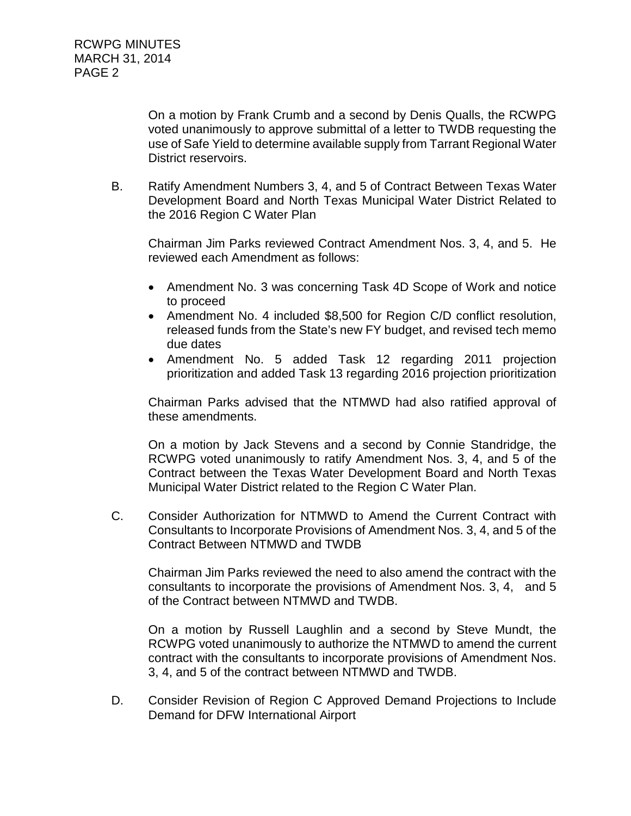On a motion by Frank Crumb and a second by Denis Qualls, the RCWPG voted unanimously to approve submittal of a letter to TWDB requesting the use of Safe Yield to determine available supply from Tarrant Regional Water District reservoirs.

B. Ratify Amendment Numbers 3, 4, and 5 of Contract Between Texas Water Development Board and North Texas Municipal Water District Related to the 2016 Region C Water Plan

Chairman Jim Parks reviewed Contract Amendment Nos. 3, 4, and 5. He reviewed each Amendment as follows:

- Amendment No. 3 was concerning Task 4D Scope of Work and notice to proceed
- Amendment No. 4 included \$8,500 for Region C/D conflict resolution, released funds from the State's new FY budget, and revised tech memo due dates
- Amendment No. 5 added Task 12 regarding 2011 projection prioritization and added Task 13 regarding 2016 projection prioritization

Chairman Parks advised that the NTMWD had also ratified approval of these amendments.

On a motion by Jack Stevens and a second by Connie Standridge, the RCWPG voted unanimously to ratify Amendment Nos. 3, 4, and 5 of the Contract between the Texas Water Development Board and North Texas Municipal Water District related to the Region C Water Plan.

C. Consider Authorization for NTMWD to Amend the Current Contract with Consultants to Incorporate Provisions of Amendment Nos. 3, 4, and 5 of the Contract Between NTMWD and TWDB

Chairman Jim Parks reviewed the need to also amend the contract with the consultants to incorporate the provisions of Amendment Nos. 3, 4, and 5 of the Contract between NTMWD and TWDB.

On a motion by Russell Laughlin and a second by Steve Mundt, the RCWPG voted unanimously to authorize the NTMWD to amend the current contract with the consultants to incorporate provisions of Amendment Nos. 3, 4, and 5 of the contract between NTMWD and TWDB.

D. Consider Revision of Region C Approved Demand Projections to Include Demand for DFW International Airport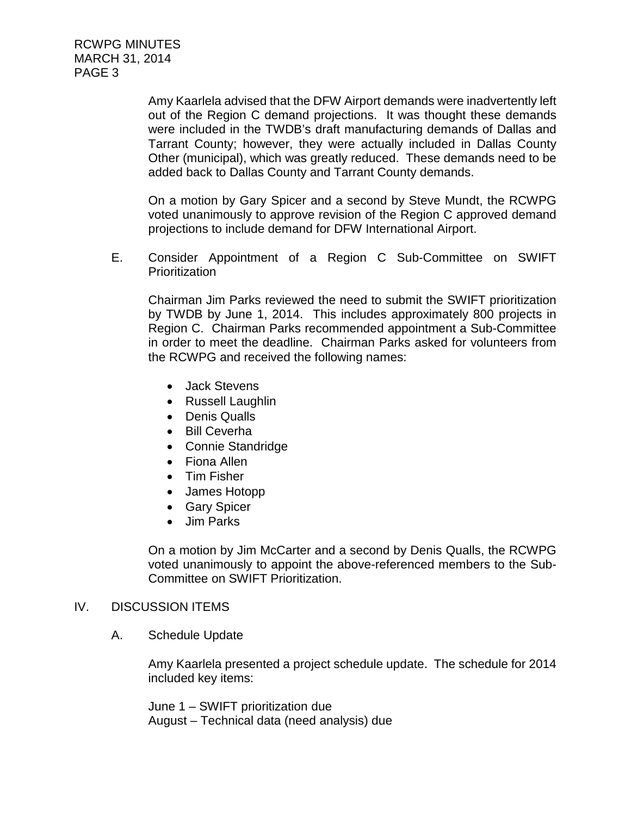> Amy Kaarlela advised that the DFW Airport demands were inadvertently left out of the Region C demand projections. It was thought these demands were included in the TWDB's draft manufacturing demands of Dallas and Tarrant County; however, they were actually included in Dallas County Other (municipal), which was greatly reduced. These demands need to be added back to Dallas County and Tarrant County demands.

> On a motion by Gary Spicer and a second by Steve Mundt, the RCWPG voted unanimously to approve revision of the Region C approved demand projections to include demand for DFW International Airport.

E. Consider Appointment of a Region C Sub-Committee on SWIFT **Prioritization** 

Chairman Jim Parks reviewed the need to submit the SWIFT prioritization by TWDB by June 1, 2014. This includes approximately 800 projects in Region C. Chairman Parks recommended appointment a Sub-Committee in order to meet the deadline. Chairman Parks asked for volunteers from the RCWPG and received the following names:

- Jack Stevens
- Russell Laughlin
- Denis Qualls
- Bill Ceverha
- Connie Standridge
- Fiona Allen
- Tim Fisher
- James Hotopp
- Gary Spicer
- Jim Parks

On a motion by Jim McCarter and a second by Denis Qualls, the RCWPG voted unanimously to appoint the above-referenced members to the Sub-Committee on SWIFT Prioritization.

### IV. DISCUSSION ITEMS

A. Schedule Update

Amy Kaarlela presented a project schedule update. The schedule for 2014 included key items:

June 1 – SWIFT prioritization due August – Technical data (need analysis) due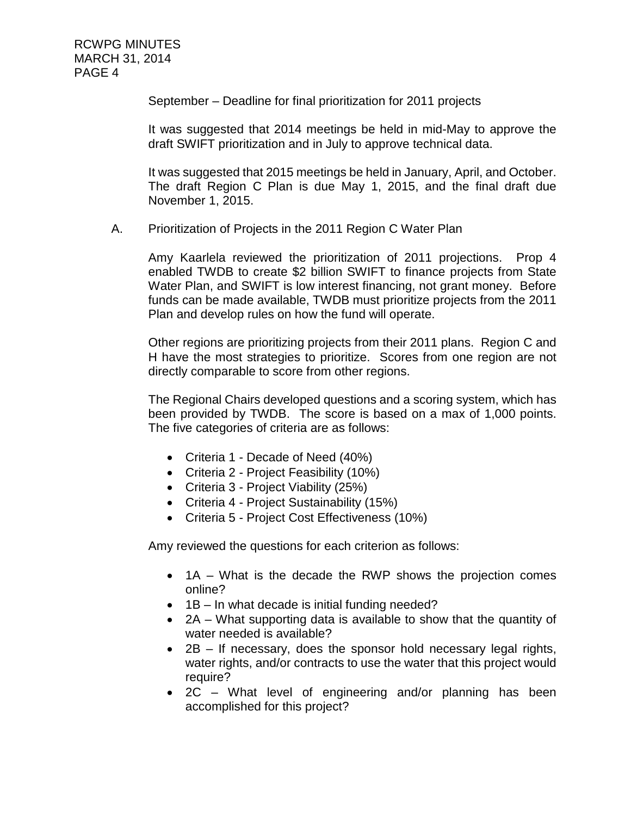September – Deadline for final prioritization for 2011 projects

It was suggested that 2014 meetings be held in mid-May to approve the draft SWIFT prioritization and in July to approve technical data.

It was suggested that 2015 meetings be held in January, April, and October. The draft Region C Plan is due May 1, 2015, and the final draft due November 1, 2015.

A. Prioritization of Projects in the 2011 Region C Water Plan

Amy Kaarlela reviewed the prioritization of 2011 projections. Prop 4 enabled TWDB to create \$2 billion SWIFT to finance projects from State Water Plan, and SWIFT is low interest financing, not grant money. Before funds can be made available, TWDB must prioritize projects from the 2011 Plan and develop rules on how the fund will operate.

Other regions are prioritizing projects from their 2011 plans. Region C and H have the most strategies to prioritize. Scores from one region are not directly comparable to score from other regions.

The Regional Chairs developed questions and a scoring system, which has been provided by TWDB. The score is based on a max of 1,000 points. The five categories of criteria are as follows:

- Criteria 1 Decade of Need (40%)
- Criteria 2 Project Feasibility (10%)
- Criteria 3 Project Viability (25%)
- Criteria 4 Project Sustainability (15%)
- Criteria 5 Project Cost Effectiveness (10%)

Amy reviewed the questions for each criterion as follows:

- 1A What is the decade the RWP shows the projection comes online?
- 1B In what decade is initial funding needed?
- 2A What supporting data is available to show that the quantity of water needed is available?
- 2B If necessary, does the sponsor hold necessary legal rights, water rights, and/or contracts to use the water that this project would require?
- 2C What level of engineering and/or planning has been accomplished for this project?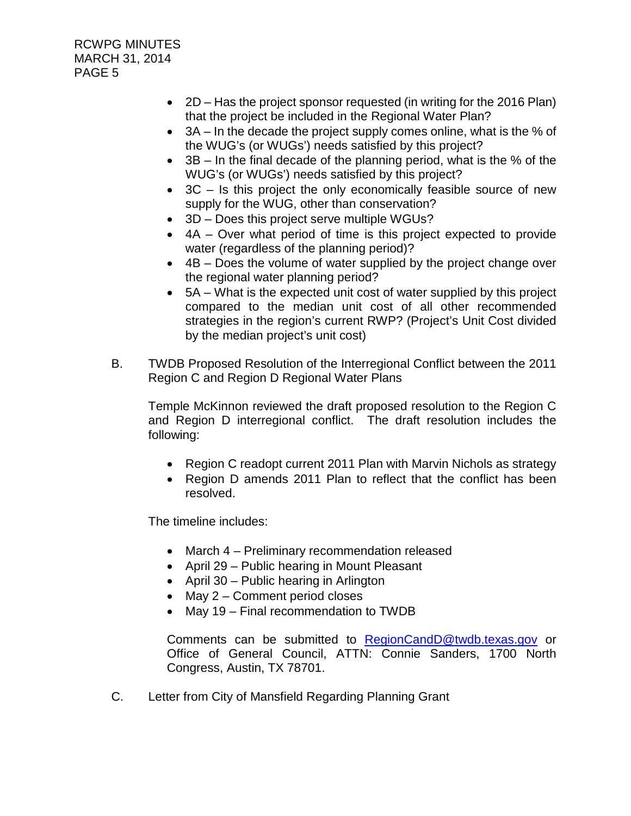- 2D Has the project sponsor requested (in writing for the 2016 Plan) that the project be included in the Regional Water Plan?
- 3A In the decade the project supply comes online, what is the % of the WUG's (or WUGs') needs satisfied by this project?
- 3B In the final decade of the planning period, what is the % of the WUG's (or WUGs') needs satisfied by this project?
- 3C Is this project the only economically feasible source of new supply for the WUG, other than conservation?
- 3D Does this project serve multiple WGUs?
- 4A Over what period of time is this project expected to provide water (regardless of the planning period)?
- 4B Does the volume of water supplied by the project change over the regional water planning period?
- 5A What is the expected unit cost of water supplied by this project compared to the median unit cost of all other recommended strategies in the region's current RWP? (Project's Unit Cost divided by the median project's unit cost)
- B. TWDB Proposed Resolution of the Interregional Conflict between the 2011 Region C and Region D Regional Water Plans

Temple McKinnon reviewed the draft proposed resolution to the Region C and Region D interregional conflict. The draft resolution includes the following:

- Region C readopt current 2011 Plan with Marvin Nichols as strategy
- Region D amends 2011 Plan to reflect that the conflict has been resolved.

The timeline includes:

- March 4 Preliminary recommendation released
- April 29 Public hearing in Mount Pleasant
- April 30 Public hearing in Arlington
- May 2 Comment period closes
- May 19 Final recommendation to TWDB

Comments can be submitted to [RegionCandD@twdb.texas.gov](mailto:RegionCandD@twdb.texas.gov) or Office of General Council, ATTN: Connie Sanders, 1700 North Congress, Austin, TX 78701.

C. Letter from City of Mansfield Regarding Planning Grant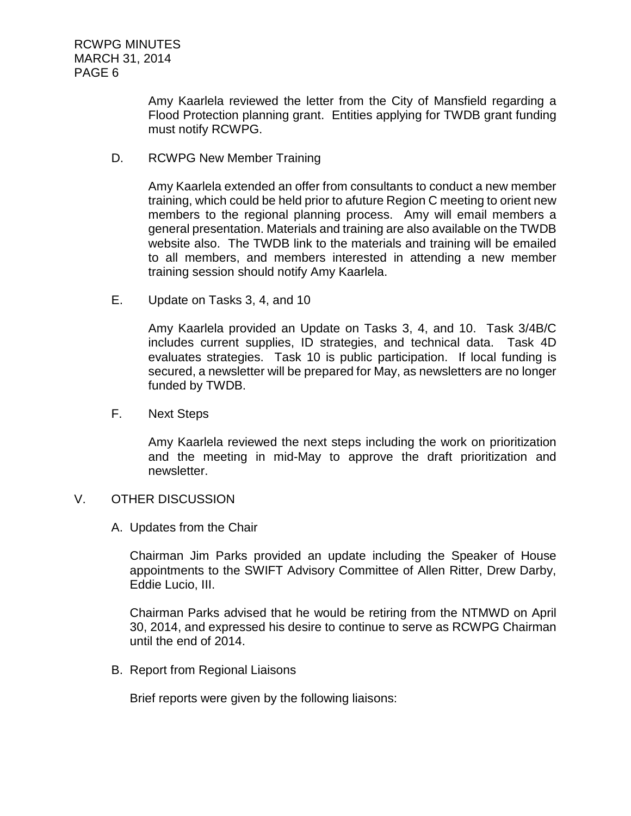> Amy Kaarlela reviewed the letter from the City of Mansfield regarding a Flood Protection planning grant. Entities applying for TWDB grant funding must notify RCWPG.

D. RCWPG New Member Training

Amy Kaarlela extended an offer from consultants to conduct a new member training, which could be held prior to afuture Region C meeting to orient new members to the regional planning process. Amy will email members a general presentation. Materials and training are also available on the TWDB website also. The TWDB link to the materials and training will be emailed to all members, and members interested in attending a new member training session should notify Amy Kaarlela.

E. Update on Tasks 3, 4, and 10

Amy Kaarlela provided an Update on Tasks 3, 4, and 10. Task 3/4B/C includes current supplies, ID strategies, and technical data. Task 4D evaluates strategies. Task 10 is public participation. If local funding is secured, a newsletter will be prepared for May, as newsletters are no longer funded by TWDB.

F. Next Steps

Amy Kaarlela reviewed the next steps including the work on prioritization and the meeting in mid-May to approve the draft prioritization and newsletter.

## V. OTHER DISCUSSION

A. Updates from the Chair

Chairman Jim Parks provided an update including the Speaker of House appointments to the SWIFT Advisory Committee of Allen Ritter, Drew Darby, Eddie Lucio, III.

Chairman Parks advised that he would be retiring from the NTMWD on April 30, 2014, and expressed his desire to continue to serve as RCWPG Chairman until the end of 2014.

B. Report from Regional Liaisons

Brief reports were given by the following liaisons: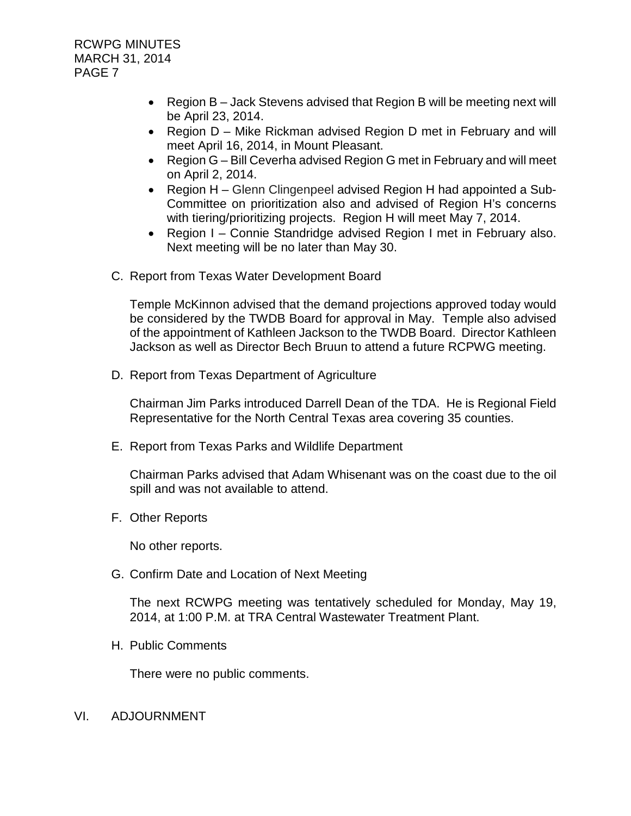- Region B Jack Stevens advised that Region B will be meeting next will be April 23, 2014.
- Region D Mike Rickman advised Region D met in February and will meet April 16, 2014, in Mount Pleasant.
- Region G Bill Ceverha advised Region G met in February and will meet on April 2, 2014.
- Region H Glenn Clingenpeel advised Region H had appointed a Sub-Committee on prioritization also and advised of Region H's concerns with tiering/prioritizing projects. Region H will meet May 7, 2014.
- Region I Connie Standridge advised Region I met in February also. Next meeting will be no later than May 30.
- C. Report from Texas Water Development Board

Temple McKinnon advised that the demand projections approved today would be considered by the TWDB Board for approval in May. Temple also advised of the appointment of Kathleen Jackson to the TWDB Board. Director Kathleen Jackson as well as Director Bech Bruun to attend a future RCPWG meeting.

D. Report from Texas Department of Agriculture

Chairman Jim Parks introduced Darrell Dean of the TDA. He is Regional Field Representative for the North Central Texas area covering 35 counties.

E. Report from Texas Parks and Wildlife Department

Chairman Parks advised that Adam Whisenant was on the coast due to the oil spill and was not available to attend.

F. Other Reports

No other reports.

G. Confirm Date and Location of Next Meeting

The next RCWPG meeting was tentatively scheduled for Monday, May 19, 2014, at 1:00 P.M. at TRA Central Wastewater Treatment Plant.

H. Public Comments

There were no public comments.

VI. ADJOURNMENT